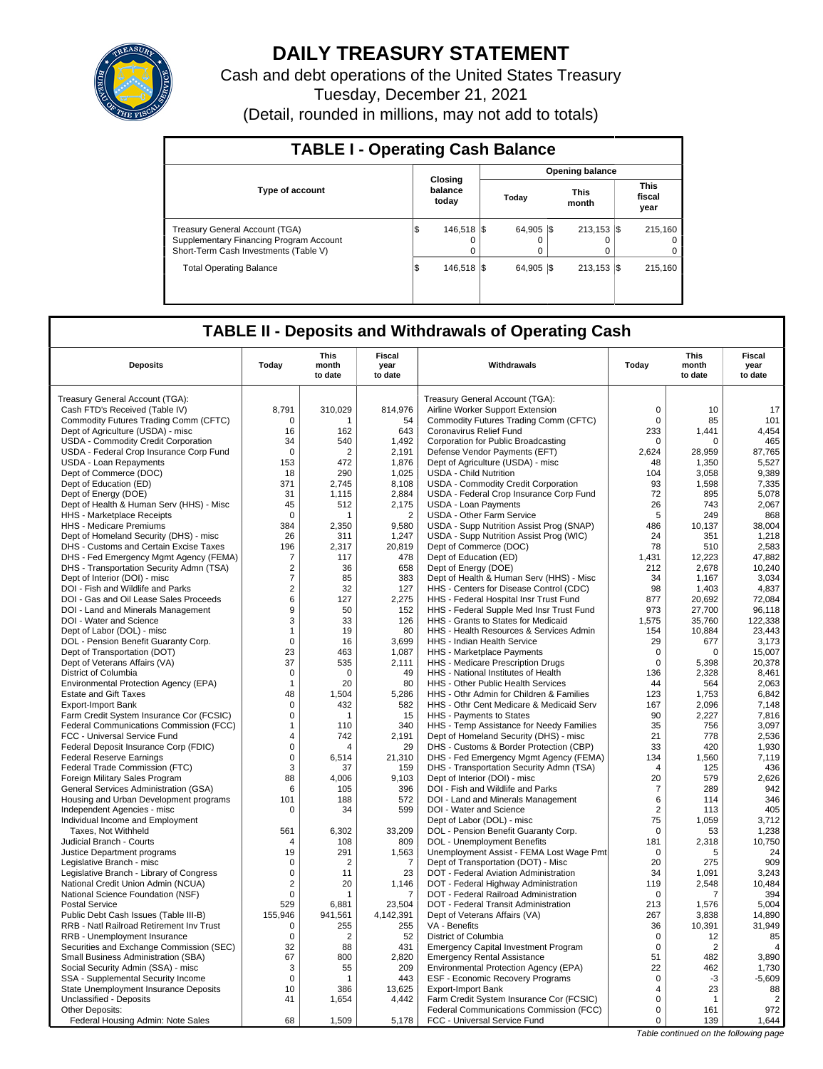

## **DAILY TREASURY STATEMENT**

Cash and debt operations of the United States Treasury Tuesday, December 21, 2021 (Detail, rounded in millions, may not add to totals)

| <b>TABLE I - Operating Cash Balance</b>                                                                                   |     |                             |                 |                 |  |                           |  |                               |  |  |  |
|---------------------------------------------------------------------------------------------------------------------------|-----|-----------------------------|-----------------|-----------------|--|---------------------------|--|-------------------------------|--|--|--|
|                                                                                                                           |     |                             | Opening balance |                 |  |                           |  |                               |  |  |  |
| <b>Type of account</b>                                                                                                    |     | Closing<br>balance<br>today |                 | Today           |  | <b>This</b><br>month      |  | <b>This</b><br>fiscal<br>year |  |  |  |
| <b>Treasury General Account (TGA)</b><br>Supplementary Financing Program Account<br>Short-Term Cash Investments (Table V) | I\$ | 146.518 \\$<br>$\Omega$     |                 | 64.905 \\$<br>0 |  | $213.153$ $\sqrt{5}$<br>0 |  | 215.160<br>$\Omega$<br>0      |  |  |  |
| <b>Total Operating Balance</b>                                                                                            | I\$ | 146.518 \\$                 |                 | 64.905 \\$      |  | $213.153$ S               |  | 215.160                       |  |  |  |

### **TABLE II - Deposits and Withdrawals of Operating Cash**

| <b>Deposits</b>                                                                 | Today             | <b>This</b><br>month<br>to date | <b>Fiscal</b><br>year<br>to date | Withdrawals                                                                 | Today            | This<br>month<br>to date | Fiscal<br>year<br>to date |
|---------------------------------------------------------------------------------|-------------------|---------------------------------|----------------------------------|-----------------------------------------------------------------------------|------------------|--------------------------|---------------------------|
| Treasury General Account (TGA):                                                 |                   |                                 |                                  | Treasury General Account (TGA):                                             |                  |                          |                           |
| Cash FTD's Received (Table IV)                                                  | 8,791             | 310,029                         | 814,976                          | Airline Worker Support Extension                                            | $\mathbf 0$      | 10                       | 17                        |
| Commodity Futures Trading Comm (CFTC)                                           | $\mathbf 0$       | 1                               | 54                               | Commodity Futures Trading Comm (CFTC)                                       | $\mathsf 0$      | 85                       | 101                       |
| Dept of Agriculture (USDA) - misc                                               | 16                | 162                             | 643                              | Coronavirus Relief Fund                                                     | 233              | 1.441                    | 4,454                     |
| USDA - Commodity Credit Corporation                                             | 34                | 540                             | 1,492                            | Corporation for Public Broadcasting                                         | 0                | 0                        | 465                       |
| USDA - Federal Crop Insurance Corp Fund                                         | $\Omega$          | 2                               | 2,191                            | Defense Vendor Payments (EFT)                                               | 2,624            | 28.959                   | 87,765                    |
| <b>USDA - Loan Repayments</b>                                                   | 153               | 472                             | 1,876                            | Dept of Agriculture (USDA) - misc                                           | 48               | 1,350                    | 5,527                     |
| Dept of Commerce (DOC)                                                          | 18                | 290                             | 1,025                            | <b>USDA - Child Nutrition</b>                                               | 104              | 3,058                    | 9,389                     |
| Dept of Education (ED)                                                          | 371               | 2.745                           | 8.108                            | <b>USDA - Commodity Credit Corporation</b>                                  | 93               | 1.598                    | 7,335                     |
| Dept of Energy (DOE)                                                            | 31                | 1.115                           | 2,884                            | USDA - Federal Crop Insurance Corp Fund                                     | 72               | 895                      | 5,078                     |
| Dept of Health & Human Serv (HHS) - Misc                                        | 45                | 512                             | 2,175                            | <b>USDA - Loan Payments</b>                                                 | 26               | 743                      | 2,067                     |
| HHS - Marketplace Receipts                                                      | $\mathbf 0$       | 1                               | $\overline{2}$                   | USDA - Other Farm Service                                                   | 5                | 249                      | 868                       |
| HHS - Medicare Premiums                                                         | 384               | 2,350                           | 9,580                            | USDA - Supp Nutrition Assist Prog (SNAP)                                    | 486              | 10,137                   | 38,004                    |
| Dept of Homeland Security (DHS) - misc                                          | 26                | 311                             | 1,247                            | USDA - Supp Nutrition Assist Prog (WIC)                                     | 24               | 351                      | 1,218                     |
| DHS - Customs and Certain Excise Taxes                                          | 196               | 2,317                           | 20,819                           | Dept of Commerce (DOC)                                                      | 78               | 510                      | 2,583                     |
| DHS - Fed Emergency Mgmt Agency (FEMA)                                          | $\overline{7}$    | 117                             | 478                              | Dept of Education (ED)                                                      | 1,431            | 12,223                   | 47,882                    |
| DHS - Transportation Security Admn (TSA)                                        | $\overline{2}$    | 36                              | 658                              | Dept of Energy (DOE)                                                        | 212              | 2.678                    | 10,240                    |
| Dept of Interior (DOI) - misc                                                   | $\overline{7}$    | 85                              | 383                              | Dept of Health & Human Serv (HHS) - Misc                                    | 34               | 1,167                    | 3,034                     |
| DOI - Fish and Wildlife and Parks                                               | $\overline{2}$    | 32                              | 127                              | HHS - Centers for Disease Control (CDC)                                     | 98               | 1,403                    | 4,837                     |
| DOI - Gas and Oil Lease Sales Proceeds                                          | 6                 | 127                             | 2,275                            | HHS - Federal Hospital Insr Trust Fund                                      | 877              | 20,692                   | 72,084                    |
| DOI - Land and Minerals Management                                              | 9                 | 50                              | 152                              | HHS - Federal Supple Med Insr Trust Fund                                    | 973              | 27,700                   | 96,118                    |
| DOI - Water and Science                                                         | 3                 | 33                              | 126                              | HHS - Grants to States for Medicaid                                         | 1,575            | 35,760                   | 122,338                   |
| Dept of Labor (DOL) - misc                                                      | $\mathbf{1}$      | 19                              | 80                               | HHS - Health Resources & Services Admin                                     | 154              | 10.884                   | 23.443                    |
| DOL - Pension Benefit Guaranty Corp.                                            | $\mathbf 0$<br>23 | 16                              | 3,699                            | HHS - Indian Health Service                                                 | 29               | 677<br>$\Omega$          | 3,173<br>15.007           |
| Dept of Transportation (DOT)<br>Dept of Veterans Affairs (VA)                   | 37                | 463<br>535                      | 1.087<br>2,111                   | HHS - Marketplace Payments<br>HHS - Medicare Prescription Drugs             | 0<br>$\mathsf 0$ | 5,398                    | 20,378                    |
| District of Columbia                                                            | $\Omega$          | $\Omega$                        | 49                               | HHS - National Institutes of Health                                         | 136              | 2,328                    | 8,461                     |
| Environmental Protection Agency (EPA)                                           | $\mathbf{1}$      | 20                              | 80                               | HHS - Other Public Health Services                                          | 44               | 564                      | 2,063                     |
| <b>Estate and Gift Taxes</b>                                                    | 48                | 1,504                           | 5,286                            | HHS - Othr Admin for Children & Families                                    | 123              | 1,753                    | 6,842                     |
| Export-Import Bank                                                              | $\mathbf 0$       | 432                             | 582                              | HHS - Othr Cent Medicare & Medicaid Serv                                    | 167              | 2,096                    | 7,148                     |
| Farm Credit System Insurance Cor (FCSIC)                                        | $\mathbf 0$       | $\mathbf{1}$                    | 15                               | HHS - Payments to States                                                    | 90               | 2,227                    | 7,816                     |
| Federal Communications Commission (FCC)                                         | $\mathbf{1}$      | 110                             | 340                              | HHS - Temp Assistance for Needy Families                                    | 35               | 756                      | 3.097                     |
| FCC - Universal Service Fund                                                    | 4                 | 742                             | 2,191                            | Dept of Homeland Security (DHS) - misc                                      | 21               | 778                      | 2,536                     |
| Federal Deposit Insurance Corp (FDIC)                                           | $\Omega$          | 4                               | 29                               | DHS - Customs & Border Protection (CBP)                                     | 33               | 420                      | 1.930                     |
| <b>Federal Reserve Earnings</b>                                                 | $\mathsf 0$       | 6,514                           | 21,310                           | DHS - Fed Emergency Mgmt Agency (FEMA)                                      | 134              | 1,560                    | 7,119                     |
| Federal Trade Commission (FTC)                                                  | 3                 | 37                              | 159                              | DHS - Transportation Security Admn (TSA)                                    | $\overline{4}$   | 125                      | 436                       |
| Foreign Military Sales Program                                                  | 88                | 4,006                           | 9,103                            | Dept of Interior (DOI) - misc                                               | 20               | 579                      | 2,626                     |
| General Services Administration (GSA)                                           | 6                 | 105                             | 396                              | DOI - Fish and Wildlife and Parks                                           | $\overline{7}$   | 289                      | 942                       |
| Housing and Urban Development programs                                          | 101               | 188                             | 572                              | DOI - Land and Minerals Management                                          | 6                | 114                      | 346                       |
| Independent Agencies - misc                                                     | $\Omega$          | 34                              | 599                              | DOI - Water and Science                                                     | 2                | 113                      | 405                       |
| Individual Income and Employment                                                |                   |                                 |                                  | Dept of Labor (DOL) - misc                                                  | 75               | 1.059                    | 3.712                     |
| Taxes, Not Withheld                                                             | 561               | 6,302                           | 33,209                           | DOL - Pension Benefit Guaranty Corp.                                        | $\mathbf 0$      | 53                       | 1,238                     |
| Judicial Branch - Courts                                                        | $\overline{4}$    | 108                             | 809                              | <b>DOL - Unemployment Benefits</b>                                          | 181              | 2,318                    | 10.750                    |
| Justice Department programs                                                     | 19                | 291                             | 1,563                            | Unemployment Assist - FEMA Lost Wage Pmt                                    | $\mathbf 0$      | 5                        | 24                        |
| Legislative Branch - misc                                                       | $\Omega$          | 2                               | 7                                | Dept of Transportation (DOT) - Misc                                         | 20               | 275                      | 909                       |
| Legislative Branch - Library of Congress                                        | $\mathsf 0$       | 11                              | 23                               | DOT - Federal Aviation Administration                                       | 34               | 1,091                    | 3,243                     |
| National Credit Union Admin (NCUA)                                              | $\overline{c}$    | 20                              | 1,146                            | DOT - Federal Highway Administration                                        | 119              | 2,548                    | 10,484                    |
| National Science Foundation (NSF)                                               | $\mathbf 0$       | 1                               | $\overline{7}$                   | DOT - Federal Railroad Administration                                       | $\mathbf 0$      | 7                        | 394                       |
| <b>Postal Service</b>                                                           | 529               | 6,881                           | 23,504                           | DOT - Federal Transit Administration                                        | 213              | 1,576                    | 5,004                     |
| Public Debt Cash Issues (Table III-B)                                           | 155,946           | 941,561                         | 4,142,391                        | Dept of Veterans Affairs (VA)                                               | 267              | 3.838                    | 14,890                    |
| RRB - Natl Railroad Retirement Inv Trust                                        | 0<br>$\Omega$     | 255                             | 255                              | VA - Benefits                                                               | 36<br>$\Omega$   | 10,391                   | 31,949                    |
| RRB - Unemployment Insurance                                                    |                   | $\overline{2}$                  | 52                               | District of Columbia                                                        | $\mathbf 0$      | 12                       | 85                        |
| Securities and Exchange Commission (SEC)<br>Small Business Administration (SBA) | 32<br>67          | 88<br>800                       | 431<br>2,820                     | <b>Emergency Capital Investment Program</b>                                 | 51               | $\overline{2}$           | $\overline{4}$<br>3,890   |
| Social Security Admin (SSA) - misc                                              | 3                 | 55                              | 209                              | <b>Emergency Rental Assistance</b><br>Environmental Protection Agency (EPA) | 22               | 482<br>462               | 1,730                     |
| SSA - Supplemental Security Income                                              | $\mathbf 0$       | 1                               | 443                              | <b>ESF - Economic Recovery Programs</b>                                     | $\mathbf 0$      | $-3$                     | $-5,609$                  |
| State Unemployment Insurance Deposits                                           | 10                | 386                             | 13,625                           | <b>Export-Import Bank</b>                                                   | 4                | 23                       | 88                        |
| Unclassified - Deposits                                                         | 41                | 1,654                           | 4,442                            | Farm Credit System Insurance Cor (FCSIC)                                    | $\mathbf 0$      | 1                        | $\overline{2}$            |
| Other Deposits:                                                                 |                   |                                 |                                  | Federal Communications Commission (FCC)                                     | $\mathbf 0$      | 161                      | 972                       |
| Federal Housing Admin: Note Sales                                               | 68                | 1.509                           | 5,178                            | FCC - Universal Service Fund                                                | $\mathbf 0$      | 139                      | 1,644                     |
|                                                                                 |                   |                                 |                                  |                                                                             |                  |                          |                           |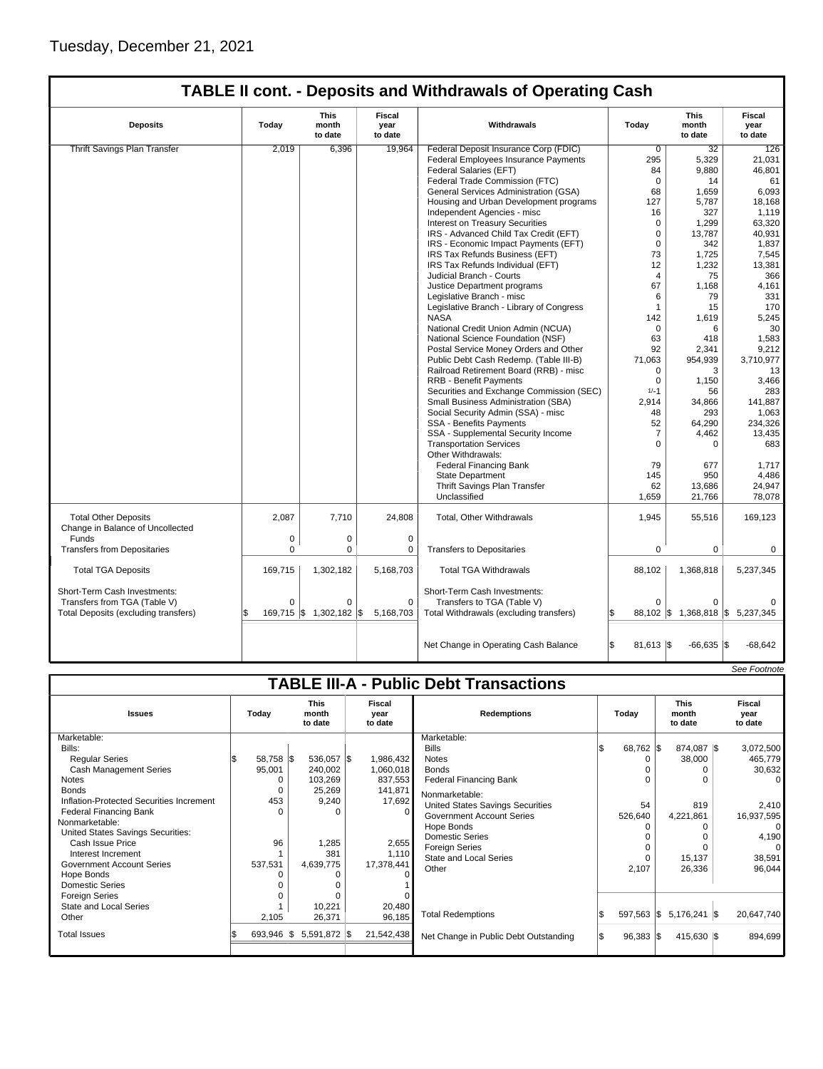# **TABLE II cont. - Deposits and Withdrawals of Operating Cash**

| <b>Deposits</b>                                                 | Today    | This<br>month<br>to date | Fiscal<br>year<br>to date | Withdrawals                              | Today               | <b>This</b><br>month<br>to date | Fiscal<br>year<br>to date |
|-----------------------------------------------------------------|----------|--------------------------|---------------------------|------------------------------------------|---------------------|---------------------------------|---------------------------|
| Thrift Savings Plan Transfer                                    | 2,019    | 6,396                    | 19,964                    | Federal Deposit Insurance Corp (FDIC)    | $\overline{0}$      | 32                              | 126                       |
|                                                                 |          |                          |                           | Federal Employees Insurance Payments     | 295                 | 5,329                           | 21,031                    |
|                                                                 |          |                          |                           | Federal Salaries (EFT)                   | 84                  | 9.880                           | 46,801                    |
|                                                                 |          |                          |                           | Federal Trade Commission (FTC)           | $\Omega$            | 14                              | 61                        |
|                                                                 |          |                          |                           | General Services Administration (GSA)    | 68                  | 1,659                           | 6,093                     |
|                                                                 |          |                          |                           | Housing and Urban Development programs   | 127                 | 5,787                           | 18,168                    |
|                                                                 |          |                          |                           | Independent Agencies - misc              | 16                  | 327                             | 1,119                     |
|                                                                 |          |                          |                           | <b>Interest on Treasury Securities</b>   | $\mathbf 0$         | 1,299                           | 63,320                    |
|                                                                 |          |                          |                           | IRS - Advanced Child Tax Credit (EFT)    | $\mathbf 0$         | 13.787                          | 40.931                    |
|                                                                 |          |                          |                           |                                          | $\Omega$            | 342                             |                           |
|                                                                 |          |                          |                           | IRS - Economic Impact Payments (EFT)     |                     |                                 | 1,837                     |
|                                                                 |          |                          |                           | IRS Tax Refunds Business (EFT)           | 73                  | 1.725                           | 7,545                     |
|                                                                 |          |                          |                           | IRS Tax Refunds Individual (EFT)         | 12                  | 1,232                           | 13,381                    |
|                                                                 |          |                          |                           | Judicial Branch - Courts                 | 4                   | 75                              | 366                       |
|                                                                 |          |                          |                           | Justice Department programs              | 67                  | 1,168                           | 4,161                     |
|                                                                 |          |                          |                           | Legislative Branch - misc                | 6                   | 79                              | 331                       |
|                                                                 |          |                          |                           | Legislative Branch - Library of Congress | $\mathbf{1}$        | 15                              | 170                       |
|                                                                 |          |                          |                           | <b>NASA</b>                              | 142                 | 1.619                           | 5,245                     |
|                                                                 |          |                          |                           | National Credit Union Admin (NCUA)       | 0                   | 6                               | 30                        |
|                                                                 |          |                          |                           | National Science Foundation (NSF)        | 63                  | 418                             | 1,583                     |
|                                                                 |          |                          |                           | Postal Service Money Orders and Other    | 92                  | 2,341                           | 9,212                     |
|                                                                 |          |                          |                           | Public Debt Cash Redemp. (Table III-B)   | 71,063              | 954,939                         | 3,710,977                 |
|                                                                 |          |                          |                           | Railroad Retirement Board (RRB) - misc   | $\Omega$            | 3                               | 13                        |
|                                                                 |          |                          |                           | <b>RRB - Benefit Payments</b>            | $\Omega$            | 1,150                           | 3,466                     |
|                                                                 |          |                          |                           | Securities and Exchange Commission (SEC) | $1/-1$              | 56                              | 283                       |
|                                                                 |          |                          |                           | Small Business Administration (SBA)      | 2,914               | 34,866                          | 141,887                   |
|                                                                 |          |                          |                           | Social Security Admin (SSA) - misc       | 48                  | 293                             | 1,063                     |
|                                                                 |          |                          |                           | <b>SSA - Benefits Payments</b>           | 52                  | 64,290                          | 234,326                   |
|                                                                 |          |                          |                           | SSA - Supplemental Security Income       | $\overline{7}$      | 4,462                           | 13,435                    |
|                                                                 |          |                          |                           | <b>Transportation Services</b>           | $\Omega$            | $\Omega$                        | 683                       |
|                                                                 |          |                          |                           | Other Withdrawals:                       |                     |                                 |                           |
|                                                                 |          |                          |                           | <b>Federal Financing Bank</b>            | 79                  | 677                             | 1,717                     |
|                                                                 |          |                          |                           | <b>State Department</b>                  | 145                 | 950                             | 4,486                     |
|                                                                 |          |                          |                           | Thrift Savings Plan Transfer             | 62                  | 13,686                          | 24,947                    |
|                                                                 |          |                          |                           | Unclassified                             |                     |                                 | 78,078                    |
|                                                                 |          |                          |                           |                                          | 1,659               | 21,766                          |                           |
| <b>Total Other Deposits</b><br>Change in Balance of Uncollected | 2.087    | 7,710                    | 24,808                    | Total, Other Withdrawals                 | 1,945               | 55,516                          | 169,123                   |
| Funds                                                           | 0        | 0                        | $\mathbf 0$               |                                          |                     |                                 |                           |
| <b>Transfers from Depositaries</b>                              | 0        | 0                        | 0                         | <b>Transfers to Depositaries</b>         | 0                   | $\mathbf 0$                     | $\mathbf 0$               |
| <b>Total TGA Deposits</b>                                       | 169,715  | 1,302,182                | 5,168,703                 | <b>Total TGA Withdrawals</b>             | 88,102              | 1,368,818                       | 5,237,345                 |
| Short-Term Cash Investments:                                    |          |                          |                           | Short-Term Cash Investments:             |                     |                                 |                           |
| Transfers from TGA (Table V)                                    | $\Omega$ | 0                        | $\Omega$                  | Transfers to TGA (Table V)               | $\Omega$            | $\Omega$                        | $\Omega$                  |
| Total Deposits (excluding transfers)                            |          | 169,715 \$ 1,302,182 \$  | 5,168,703                 | Total Withdrawals (excluding transfers)  | $88,102$ $\sqrt{5}$ |                                 | 1,368,818 \$ 5,237,345    |
|                                                                 |          |                          |                           | Net Change in Operating Cash Balance     | $81,613$ \$         | $-66,635$                       | 1\$<br>$-68,642$          |
|                                                                 |          |                          |                           |                                          |                     |                                 |                           |

|                                               |           |                                 |                           |                                       |             |                                 | See Footnote              |  |  |  |
|-----------------------------------------------|-----------|---------------------------------|---------------------------|---------------------------------------|-------------|---------------------------------|---------------------------|--|--|--|
| <b>TABLE III-A - Public Debt Transactions</b> |           |                                 |                           |                                       |             |                                 |                           |  |  |  |
| <b>Issues</b>                                 | Today     | <b>This</b><br>month<br>to date | Fiscal<br>year<br>to date | <b>Redemptions</b>                    | Todav       | <b>This</b><br>month<br>to date | Fiscal<br>year<br>to date |  |  |  |
| Marketable:                                   |           |                                 |                           | Marketable:                           |             |                                 |                           |  |  |  |
| Bills:                                        |           |                                 |                           | <b>Bills</b>                          | 68,762 \$   | 874,087 \$                      | 3,072,500                 |  |  |  |
| <b>Reqular Series</b>                         | 58,758 \$ | 536,057 \$                      | 1,986,432                 | <b>Notes</b>                          |             | 38,000                          | 465,779                   |  |  |  |
| <b>Cash Management Series</b>                 | 95,001    | 240,002                         | 1,060,018                 | <b>Bonds</b>                          |             | 0                               | 30,632                    |  |  |  |
| <b>Notes</b>                                  | $\Omega$  | 103,269                         | 837,553                   | <b>Federal Financing Bank</b>         |             | O                               | $\Omega$                  |  |  |  |
| <b>Bonds</b>                                  | $\Omega$  | 25,269                          | 141,871                   | Nonmarketable:                        |             |                                 |                           |  |  |  |
| Inflation-Protected Securities Increment      | 453       | 9,240                           | 17,692                    | United States Savings Securities      | 54          | 819                             | 2,410                     |  |  |  |
| <b>Federal Financing Bank</b>                 | $\Omega$  | $\Omega$                        | $\Omega$                  | <b>Government Account Series</b>      | 526,640     | 4,221,861                       | 16,937,595                |  |  |  |
| Nonmarketable:                                |           |                                 |                           | Hope Bonds                            |             |                                 | $\Omega$                  |  |  |  |
| United States Savings Securities:             |           |                                 |                           | Domestic Series                       |             |                                 | 4,190                     |  |  |  |
| Cash Issue Price                              | 96        | 1,285                           | 2,655                     | <b>Foreign Series</b>                 |             |                                 | $\Omega$                  |  |  |  |
| Interest Increment                            |           | 381                             | 1,110                     | State and Local Series                |             | 15,137                          | 38,591                    |  |  |  |
| <b>Government Account Series</b>              | 537,531   | 4,639,775                       | 17,378,441                | Other                                 | 2,107       | 26,336                          | 96,044                    |  |  |  |
| Hope Bonds                                    |           |                                 |                           |                                       |             |                                 |                           |  |  |  |
| <b>Domestic Series</b>                        |           |                                 |                           |                                       |             |                                 |                           |  |  |  |
| <b>Foreign Series</b>                         |           |                                 |                           |                                       |             |                                 |                           |  |  |  |
| State and Local Series                        |           | 10,221                          | 20,480                    |                                       |             |                                 |                           |  |  |  |
| Other                                         | 2,105     | 26,371                          | 96,185                    | <b>Total Redemptions</b>              |             | 597,563 \$ 5,176,241 \$         | 20,647,740                |  |  |  |
| <b>Total Issues</b>                           | 693,946   | 5,591,872 \$<br>1\$             | 21,542,438                | Net Change in Public Debt Outstanding | $96,383$ \$ | 415,630 \$                      | 894,699                   |  |  |  |
|                                               |           |                                 |                           |                                       |             |                                 |                           |  |  |  |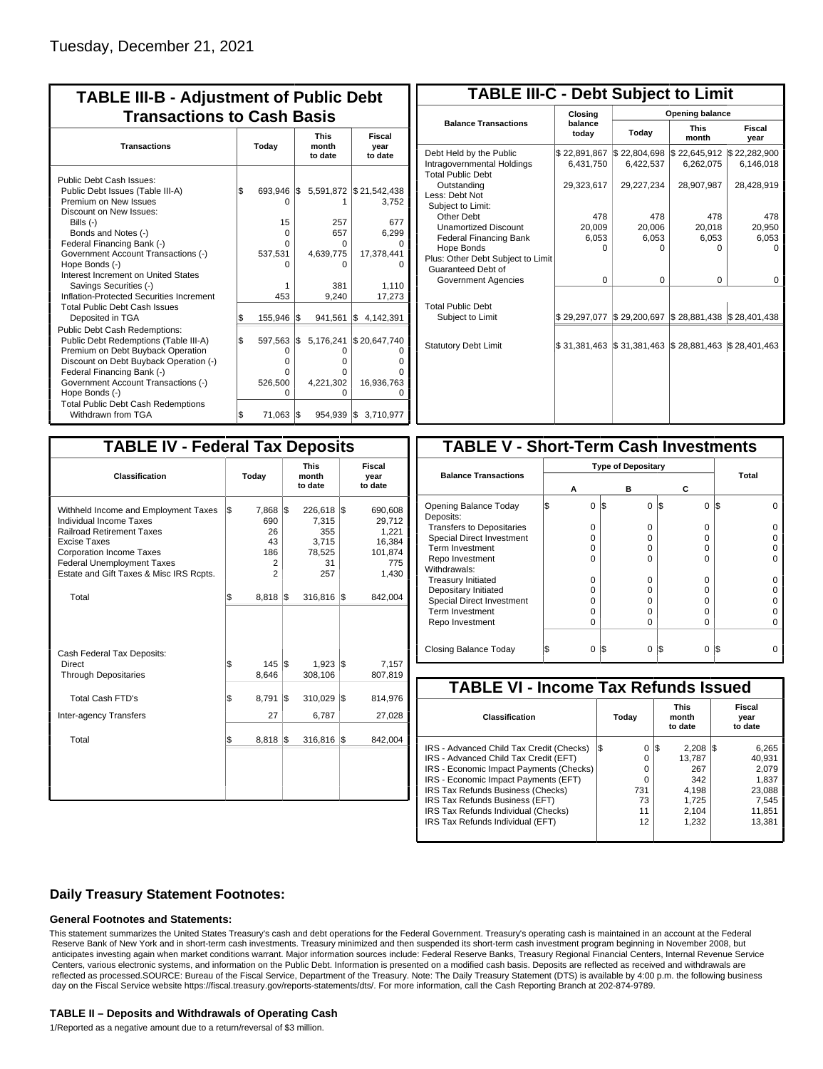| <b>TABLE III-B - Adjustment of Public Debt</b><br><b>Transactions to Cash Basis</b>                                                                                                                             |              |                                        |     |                                            |                                                 |  |  |  |  |                                 |                           |
|-----------------------------------------------------------------------------------------------------------------------------------------------------------------------------------------------------------------|--------------|----------------------------------------|-----|--------------------------------------------|-------------------------------------------------|--|--|--|--|---------------------------------|---------------------------|
| <b>Transactions</b>                                                                                                                                                                                             | <b>Today</b> |                                        |     |                                            |                                                 |  |  |  |  | <b>This</b><br>month<br>to date | Fiscal<br>year<br>to date |
| Public Debt Cash Issues:<br>Public Debt Issues (Table III-A)<br>Premium on New Issues<br>Discount on New Issues:<br>Bills $(-)$<br>Bonds and Notes (-)<br>Federal Financing Bank (-)                            | l\$          | 693.946 \$<br>15<br>$\Omega$<br>U      |     | 257<br>657<br>0                            | 5,591,872 \$21,542,438<br>3.752<br>677<br>6,299 |  |  |  |  |                                 |                           |
| Government Account Transactions (-)<br>Hope Bonds (-)<br>Interest Increment on United States<br>Savings Securities (-)<br>Inflation-Protected Securities Increment                                              |              | 537,531<br>453                         |     | 4,639,775<br>ŋ<br>381<br>9,240             | 17,378,441<br>1,110<br>17,273                   |  |  |  |  |                                 |                           |
| <b>Total Public Debt Cash Issues</b><br>Deposited in TGA<br>Public Debt Cash Redemptions:<br>Public Debt Redemptions (Table III-A)                                                                              | Ŝ.<br>l\$    | 155,946                                | 1\$ | 941,561                                    | Ι\$<br>4,142,391                                |  |  |  |  |                                 |                           |
| Premium on Debt Buyback Operation<br>Discount on Debt Buyback Operation (-)<br>Federal Financing Bank (-)<br>Government Account Transactions (-)<br>Hope Bonds (-)<br><b>Total Public Debt Cash Redemptions</b> |              | 597,563<br>0<br>O<br>U<br>526,500<br>O | 1\$ | 5,176,241<br>O<br>o<br>0<br>4,221,302<br>0 | \$20,647,740<br>16,936,763                      |  |  |  |  |                                 |                           |
| Withdrawn from TGA                                                                                                                                                                                              | l\$          | 71,063 \$                              |     | 954,939 \$                                 | 3,710,977                                       |  |  |  |  |                                 |                           |

| <b>TABLE III-C - Debt Subject to Limit</b>                                        |                           |                           |                           |                           |  |  |  |  |  |
|-----------------------------------------------------------------------------------|---------------------------|---------------------------|---------------------------|---------------------------|--|--|--|--|--|
|                                                                                   | Closina                   | Opening balance           |                           |                           |  |  |  |  |  |
| <b>Balance Transactions</b>                                                       | balance<br>today          | Today                     | <b>This</b><br>month      | Fiscal<br>year            |  |  |  |  |  |
| Debt Held by the Public<br>Intragovernmental Holdings<br><b>Total Public Debt</b> | \$22,891,867<br>6,431,750 | \$22,804,698<br>6,422,537 | \$22,645,912<br>6,262,075 | \$22,282,900<br>6,146,018 |  |  |  |  |  |
| Outstanding<br>Less: Debt Not<br>Subject to Limit:                                | 29,323,617                | 29,227,234                | 28,907,987                | 28,428,919                |  |  |  |  |  |
| Other Debt                                                                        | 478                       | 478                       | 478                       | 478                       |  |  |  |  |  |
| <b>Unamortized Discount</b>                                                       | 20,009                    | 20,006                    | 20,018                    | 20,950                    |  |  |  |  |  |
| <b>Federal Financing Bank</b>                                                     | 6,053                     | 6,053                     | 6,053                     | 6,053                     |  |  |  |  |  |
| Hope Bonds                                                                        | ŋ                         | O                         | n                         | O                         |  |  |  |  |  |
| Plus: Other Debt Subject to Limit<br>Guaranteed Debt of                           |                           |                           |                           |                           |  |  |  |  |  |
| Government Agencies                                                               | $\Omega$                  | 0                         | $\Omega$                  | 0                         |  |  |  |  |  |
| <b>Total Public Debt</b><br>Subject to Limit                                      | \$29,297,077              | \$29,200,697              | \$28,881,438              | \$28,401,438              |  |  |  |  |  |
|                                                                                   |                           |                           |                           |                           |  |  |  |  |  |
| <b>Statutory Debt Limit</b>                                                       | \$31,381,463              | \$31,381,463              | \$28,881,463              | \$28,401,463              |  |  |  |  |  |
|                                                                                   |                           |                           |                           |                           |  |  |  |  |  |

| <b>TABLE IV - Federal Tax Deposits</b>                                                                                                                                                                                                               |     |                                              |     |                                                         |     |                                                                 |  |  |
|------------------------------------------------------------------------------------------------------------------------------------------------------------------------------------------------------------------------------------------------------|-----|----------------------------------------------|-----|---------------------------------------------------------|-----|-----------------------------------------------------------------|--|--|
| <b>Classification</b>                                                                                                                                                                                                                                |     | Today                                        |     | <b>This</b><br>month<br>to date                         |     | Fiscal<br>year<br>to date                                       |  |  |
| Withheld Income and Employment Taxes<br><b>Individual Income Taxes</b><br><b>Railroad Retirement Taxes</b><br><b>Excise Taxes</b><br><b>Corporation Income Taxes</b><br><b>Federal Unemployment Taxes</b><br>Estate and Gift Taxes & Misc IRS Rcpts. | l\$ | 7,868 \$<br>690<br>26<br>43<br>186<br>2<br>2 |     | 226,618<br>7,315<br>355<br>3,715<br>78,525<br>31<br>257 | l\$ | 690,608<br>29,712<br>1,221<br>16,384<br>101,874<br>775<br>1,430 |  |  |
| Total                                                                                                                                                                                                                                                | l\$ | $8,818$ \$                                   |     | 316,816                                                 | 1\$ | 842,004                                                         |  |  |
| Cash Federal Tax Deposits:<br><b>Direct</b><br><b>Through Depositaries</b>                                                                                                                                                                           | \$  | $145 \text{ }$ S<br>8,646                    |     | 1,923<br>308,106                                        | l\$ | 7,157<br>807,819                                                |  |  |
| <b>Total Cash FTD's</b>                                                                                                                                                                                                                              | Ŝ.  | 8,791                                        | l\$ | 310,029                                                 | l\$ | 814,976                                                         |  |  |
| <b>Inter-agency Transfers</b><br>Total                                                                                                                                                                                                               | \$  | 27<br>8,818                                  | l\$ | 6,787<br>316,816                                        | l\$ | 27,028<br>842,004                                               |  |  |
|                                                                                                                                                                                                                                                      |     |                                              |     |                                                         |     |                                                                 |  |  |

| <b>TABLE V - Short-Term Cash Investments</b> |   |                           |   |          |       |  |  |  |  |
|----------------------------------------------|---|---------------------------|---|----------|-------|--|--|--|--|
|                                              |   | <b>Type of Depositary</b> |   |          |       |  |  |  |  |
| <b>Balance Transactions</b>                  |   |                           |   |          | Total |  |  |  |  |
|                                              | А |                           | в | С        |       |  |  |  |  |
| Opening Balance Today<br>Deposits:           | 0 | l\$                       | 0 | I\$<br>0 | l\$   |  |  |  |  |
| <b>Transfers to Depositaries</b>             | O |                           | 0 | $\Omega$ |       |  |  |  |  |
| <b>Special Direct Investment</b>             | O |                           | O | 0        |       |  |  |  |  |
| Term Investment                              | O |                           | 0 | 0        |       |  |  |  |  |
| Repo Investment                              | U |                           | U | U        |       |  |  |  |  |
| Withdrawals:                                 |   |                           |   |          |       |  |  |  |  |
| <b>Treasury Initiated</b>                    | O |                           | 0 | 0        |       |  |  |  |  |
| Depositary Initiated                         | O |                           | O | U        |       |  |  |  |  |
| <b>Special Direct Investment</b>             | Ω |                           | O | 0        |       |  |  |  |  |
| <b>Term Investment</b>                       | ი |                           | O | $\Omega$ |       |  |  |  |  |
| Repo Investment                              | 0 |                           | 0 | 0        |       |  |  |  |  |
|                                              |   |                           |   |          |       |  |  |  |  |
| Closing Balance Today                        | 0 | I\$                       | 0 | I\$<br>0 | l\$   |  |  |  |  |

| <b>TABLE VI - Income Tax Refunds Issued</b> |     |       |     |                                 |                           |        |  |  |  |
|---------------------------------------------|-----|-------|-----|---------------------------------|---------------------------|--------|--|--|--|
| Classification                              |     | Today |     | <b>This</b><br>month<br>to date | Fiscal<br>year<br>to date |        |  |  |  |
| IRS - Advanced Child Tax Credit (Checks)    | l\$ | 0     | 1\$ | 2.208                           | 13                        | 6,265  |  |  |  |
| IRS - Advanced Child Tax Credit (EFT)       |     | 0     |     | 13.787                          |                           | 40.931 |  |  |  |
| IRS - Economic Impact Payments (Checks)     |     | 0     |     | 267                             |                           | 2.079  |  |  |  |
| IRS - Economic Impact Payments (EFT)        |     | 0     |     | 342                             |                           | 1,837  |  |  |  |
| IRS Tax Refunds Business (Checks)           |     | 731   |     | 4.198                           |                           | 23,088 |  |  |  |
| IRS Tax Refunds Business (EFT)              |     | 73    |     | 1.725                           |                           | 7,545  |  |  |  |
| IRS Tax Refunds Individual (Checks)         |     | 11    |     | 2.104                           |                           | 11,851 |  |  |  |
| IRS Tax Refunds Individual (EFT)            |     | 12    |     | 1,232                           |                           | 13.381 |  |  |  |
|                                             |     |       |     |                                 |                           |        |  |  |  |

### **Daily Treasury Statement Footnotes:**

#### **General Footnotes and Statements:**

This statement summarizes the United States Treasury's cash and debt operations for the Federal Government. Treasury's operating cash is maintained in an account at the Federal Reserve Bank of New York and in short-term cash investments. Treasury minimized and then suspended its short-term cash investment program beginning in November 2008, but anticipates investing again when market conditions warrant. Major information sources include: Federal Reserve Banks, Treasury Regional Financial Centers, Internal Revenue Service Centers, various electronic systems, and information on the Public Debt. Information is presented on a modified cash basis. Deposits are reflected as received and withdrawals are reflected as processed.SOURCE: Bureau of the Fiscal Service, Department of the Treasury. Note: The Daily Treasury Statement (DTS) is available by 4:00 p.m. the following business day on the Fiscal Service website https://fiscal.treasury.gov/reports-statements/dts/. For more information, call the Cash Reporting Branch at 202-874-9789.

#### **TABLE II – Deposits and Withdrawals of Operating Cash**

1/Reported as a negative amount due to a return/reversal of \$3 million.